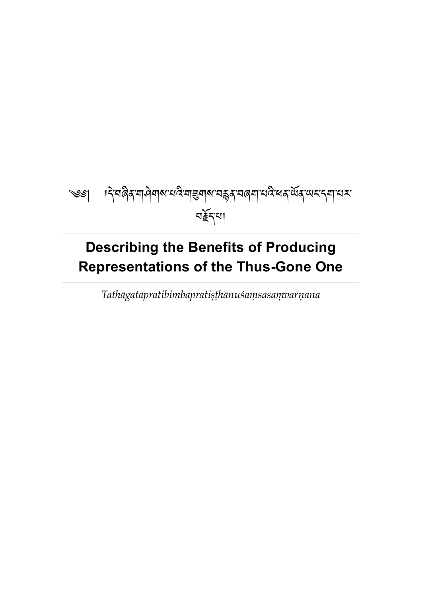# <span id="page-0-0"></span>ৼ্ঞ। । বিশ্বৰিৰ মাণীৰাৰ শেষ্ট্ৰাৰ শেষ ইৰ শৰেন শেষ অৰ্থে ক্ষেত্ৰ কৰা শেষ নৰ্≩ন্মা

# **Describing the Benefits of Producing Representations of the Thus-Gone One**

*Tathāgatapratibimbapratiṣṭhānuśaṃsasaṃvarṇana*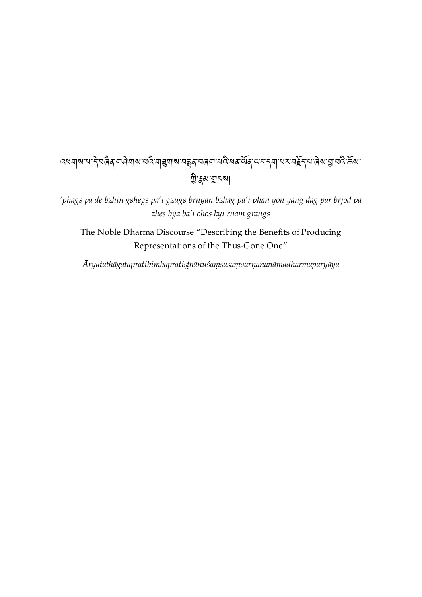# <u></u>द्ययाबायाने नालुबे नामेवाबानद्वाचा अपवे नाडु के स्वयं स्वयं स्वयं स्वयं स्वयं स्वयं स्वयं स्वयं स्वयं स्वयं स <u>শ</u>্ৰী:হ্বৰ্ম যা মা

*'phags pa de bzhin gshegs pa'i gzugs brnyan bzhag pa'i phan yon yang dag par brjod pa zhes bya ba'i chos kyi rnam grangs*

The Noble Dharma Discourse "Describing the Benefits of Producing Representations of the Thus-Gone One"

*Āryatathāgatapratibimbapratiṣṭhānuśaṃsasaṃvarṇananāmadharmaparyāya*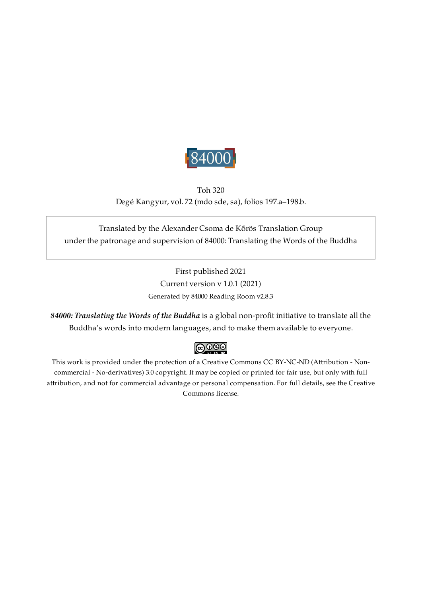

Toh 320 Degé Kangyur, vol. 72 (mdo sde, sa), folios 197.a–198.b.

### <span id="page-2-0"></span>Translated by the Alexander Csoma de Kőrös Translation Group under the patronage and supervision of 84000: Translating the Words of the Buddha

First published 2021 Current version v 1.0.1 (2021) Generated by 84000 Reading Room v2.8.3

*84000: Translating the Words of the Buddha* is a global non-profit initiative to translate all the Buddha's words into modern languages, and to make them available to everyone.

### $\bigcirc$  000

This work is provided under the protection of a Creative Commons CC BY-NC-ND (Attribution - Noncommercial - No-derivatives) 3.0 copyright. It may be copied or printed for fair use, but only with full attribution, and not for commercial advantage or personal compensation. For full details, see the Creative Commons license.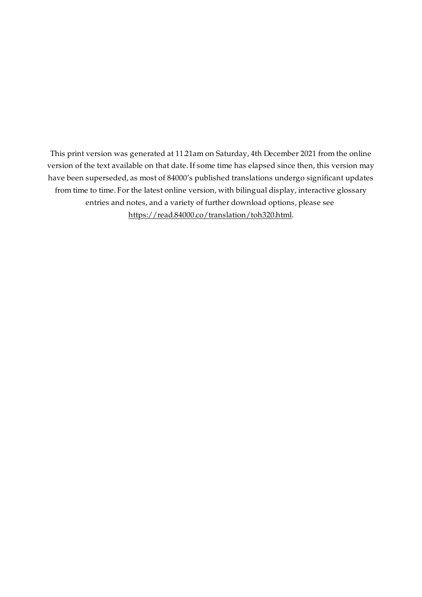This print version was generated at 11.21am on Saturday, 4th December 2021 from the online version of the text available on that date. If some time has elapsed since then, this version may have been superseded, as most of 84000's published translations undergo significant updates from time to time. For the latest online version, with bilingual display, interactive glossary entries and notes, and a variety of further download options, please see [https://read.84000.co/translation/toh320.html.](https://read.84000.co/translation/toh320.html)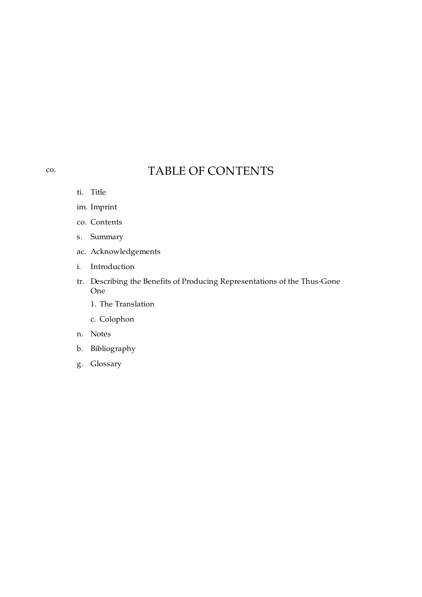## TABLE OF CONTENTS

ti. [Title](#page-0-0)

<span id="page-4-0"></span>[co.](#page-4-0)

- im. [Imprint](#page-2-0)
- co. [Contents](#page-4-0)
- s. [Summary](#page-5-0)
- ac. [Acknowledgements](#page-6-0)
- i. [Introduction](#page-7-0)
- tr. Describing the Benefits of Producing [Representations](#page-9-0) of the Thus-Gone One
	- 1. The [Translation](#page-10-0)
	- c. [Colophon](#page-13-0)
- n. [Notes](#page-14-0)
- b. [Bibliography](#page-16-0)
- g. [Glossary](#page-17-0)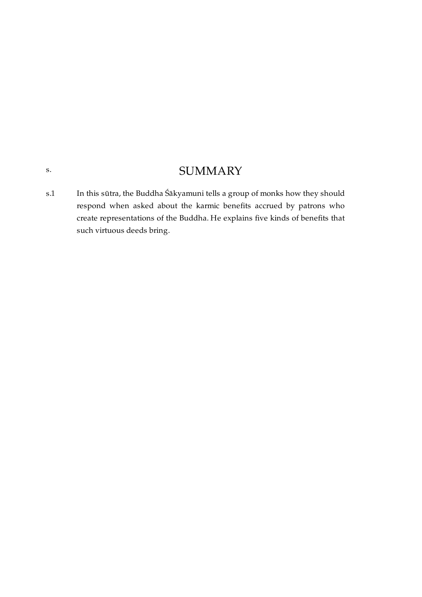### **SUMMARY**

<span id="page-5-1"></span>In this sūtra, the Buddha Śākyamuni tells a group of monks how they should respond when asked about the karmic benefits accrued by patrons who create representations of the Buddha. He explains five kinds of benefits that such virtuous deeds bring. [s.1](#page-5-1)

<span id="page-5-0"></span>[s.](#page-5-0)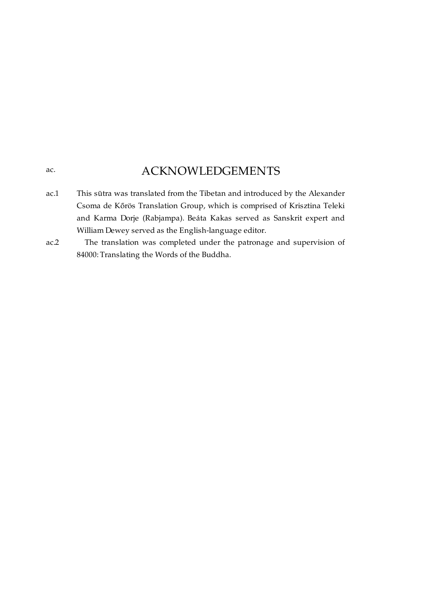### ACKNOWLEDGEMENTS

<span id="page-6-0"></span>[ac.](#page-6-0)

- <span id="page-6-1"></span>This sūtra was translated from the Tibetan and introduced by the Alexander Csoma de Kőrös Translation Group, which is comprised of Krisztina Teleki and Karma Dorje (Rabjampa). Beáta Kakas served as Sanskrit expert and William Dewey served as the English-language editor. [ac.1](#page-6-1)
- <span id="page-6-2"></span>The translation was completed under the patronage and supervision of 84000: Translating the Words of the Buddha. [ac.2](#page-6-2)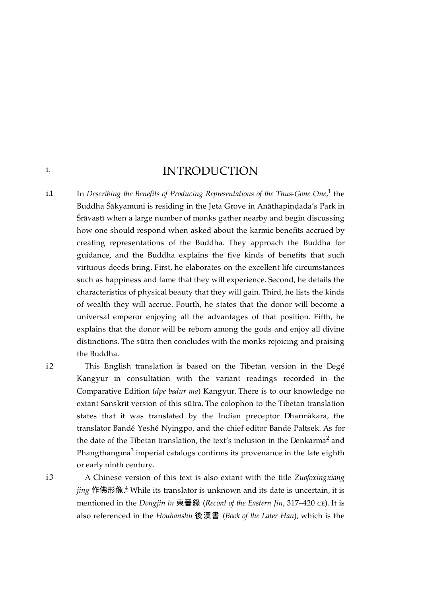### <span id="page-7-4"></span>INTRODUCTION

<span id="page-7-1"></span>In *Describing the Benefits of Producing Representations of the Thus-Gone One*, the [1](#page-14-1) Buddha Śākyamuni is residing in the Jeta Grove in Anāthapindada's Park in Śrāvastī when a large number of monks gather nearby and begin discussing how one should respond when asked about the karmic benefits accrued by creating representations of the Buddha. They approach the Buddha for guidance, and the Buddha explains the five kinds of benefits that such virtuous deeds bring. First, he elaborates on the excellent life circumstances such as happiness and fame that they will experience. Second, he details the characteristics of physical beauty that they will gain. Third, he lists the kinds of wealth they will accrue. Fourth, he states that the donor will become a universal emperor enjoying all the advantages of that position. Fifth, he explains that the donor will be reborn among the gods and enjoy all divine distinctions. The sūtra then concludes with the monks rejoicing and praising the Buddha. [i.1](#page-7-1)

<span id="page-7-2"></span>[i.2](#page-7-2)

<span id="page-7-0"></span>[i.](#page-7-0)

This English translation is based on the Tibetan version in the Degé Kangyur in consultation with the variant readings recorded in the Comparative Edition (*dpe bsdur ma*) Kangyur. There is to our knowledge no extant Sanskrit version of this sūtra. The colophon to the Tibetan translation states that it was translated by the Indian preceptor Dharmākara, the translator Bandé Yeshé Nyingpo, and the chief editor Bandé Paltsek. As for the date of the Tibetan translation, the text's inclusion in the Denkarma<sup>[2](#page-14-2)</sup> and Phangthangma $^3$  $^3$  imperial catalogs confirms its provenance in the late eighth or early ninth century.

[i.3](#page-7-3)

<span id="page-7-7"></span><span id="page-7-6"></span><span id="page-7-5"></span>A Chinese version of this text is also extant with the title *Zuofoxingxiang jing 作佛形像* $\stackrel{4}{\sim}$  $\stackrel{4}{\sim}$  $\stackrel{4}{\sim}$  While its translator is unknown and its date is uncertain, it is mentioned in the *Dongjin lu* 東晉錄 (*Record of the Eastern Jin*, 317–420 ᴄᴇ). It is also referenced in the *Houhanshu* 後漢書 (*Book of the Later Han*), which is the

<span id="page-7-3"></span>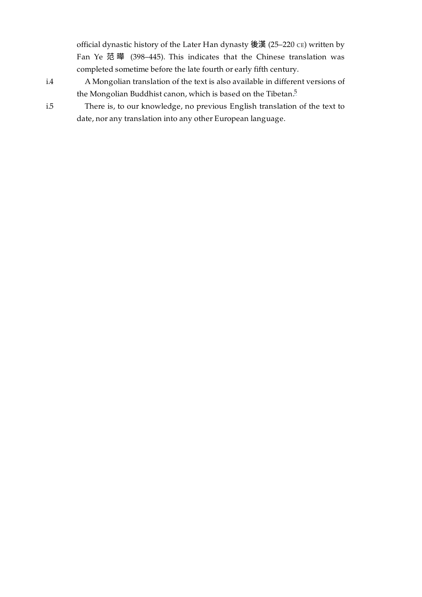official dynastic history of the Later Han dynasty 後漢 (25–220 CE) written by Fan Ye 范 曄 (398–445). This indicates that the Chinese translation was completed sometime before the late fourth or early fifth century.

A Mongolian translation of the text is also available in different versions of the Mongolian Buddhist canon, which is based on the Tibetan. [5](#page-14-5)

<span id="page-8-2"></span>There is, to our knowledge, no previous English translation of the text to date, nor any translation into any other European language.

<span id="page-8-0"></span>[i.4](#page-8-0)

<span id="page-8-1"></span>[i.5](#page-8-1)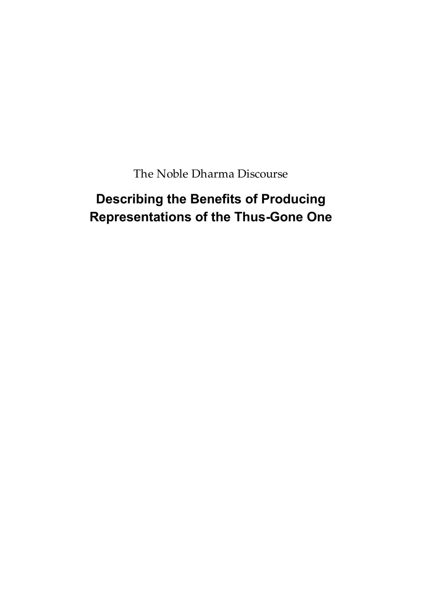The Noble Dharma Discourse

# <span id="page-9-0"></span>**Describing the Benefits of Producing Representations of the Thus-Gone One**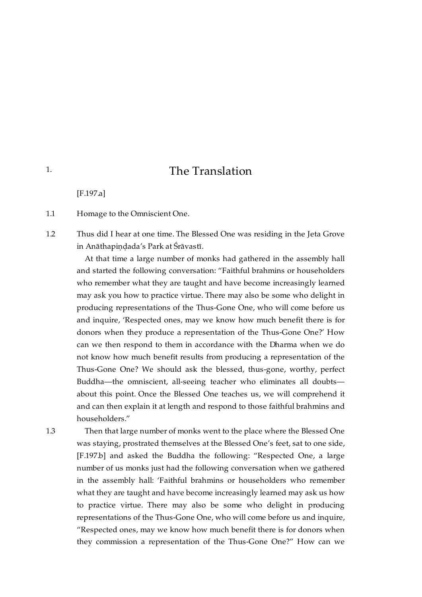### The Translation

[\[F.197.a\]](https://translator:gzungs@read.84000-translate.org/source/toh320.html?ref-index=1#ajax-source)

<span id="page-10-1"></span>Homage to the Omniscient One. [1.1](#page-10-1)

<span id="page-10-2"></span>Thus did I hear at one time. The Blessed One was residing in the Jeta Grove in Anāthapiṇḍada's Park at Śrāvastī. [1.2](#page-10-2)

At that time a large number of monks had gathered in the assembly hall and started the following conversation: "Faithful brahmins or householders who remember what they are taught and have become increasingly learned may ask you how to practice virtue. There may also be some who delight in producing representations of the Thus-Gone One, who will come before us and inquire, 'Respected ones, may we know how much benefit there is for donors when they produce a representation of the Thus-Gone One?' How can we then respond to them in accordance with the Dharma when we do not know how much benefit results from producing a representation of the Thus-Gone One? We should ask the blessed, thus-gone, worthy, perfect Buddha—the omniscient, all-seeing teacher who eliminates all doubts about this point. Once the Blessed One teaches us, we will comprehend it and can then explain it at length and respond to those faithful brahmins and householders."

<span id="page-10-3"></span>[1.3](#page-10-3)

Then that large number of monks went to the place where the Blessed One was staying, prostrated themselves at the Blessed One's feet, sat to one side, [\[F.197.b\]](https://translator:gzungs@read.84000-translate.org/source/toh320.html?ref-index=2#ajax-source) and asked the Buddha the following: "Respected One, a large number of us monks just had the following conversation when we gathered in the assembly hall: 'Faithful brahmins or householders who remember what they are taught and have become increasingly learned may ask us how to practice virtue. There may also be some who delight in producing representations of the Thus-Gone One, who will come before us and inquire, "Respected ones, may we know how much benefit there is for donors when they commission a representation of the Thus-Gone One?" How can we

<span id="page-10-0"></span>[1.](#page-10-0)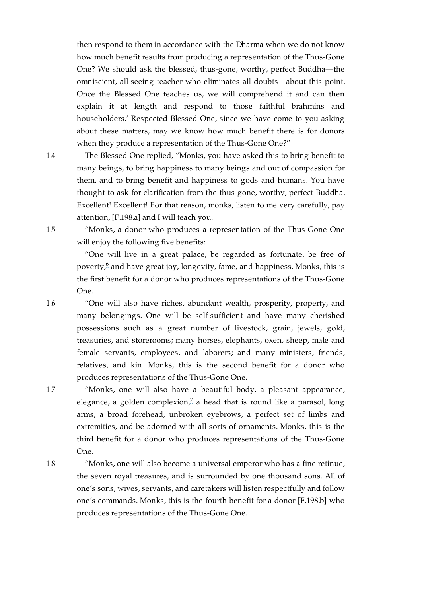then respond to them in accordance with the Dharma when we do not know how much benefit results from producing a representation of the Thus-Gone One? We should ask the blessed, thus-gone, worthy, perfect Buddha—the omniscient, all-seeing teacher who eliminates all doubts—about this point. Once the Blessed One teaches us, we will comprehend it and can then explain it at length and respond to those faithful brahmins and householders.' Respected Blessed One, since we have come to you asking about these matters, may we know how much benefit there is for donors when they produce a representation of the Thus-Gone One?"

The Blessed One replied, "Monks, you have asked this to bring benefit to many beings, to bring happiness to many beings and out of compassion for them, and to bring benefit and happiness to gods and humans. You have thought to ask for clarification from the thus-gone, worthy, perfect Buddha. Excellent! Excellent! For that reason, monks, listen to me very carefully, pay attention, [\[F.198.a\]](https://translator:gzungs@read.84000-translate.org/source/toh320.html?ref-index=3#ajax-source) and I will teach you.

"Monks, a donor who produces a representation of the Thus-Gone One will enjoy the following five benefits:

<span id="page-11-5"></span>"One will live in a great palace, be regarded as fortunate, be free of poverty, $\frac{6}{7}$  $\frac{6}{7}$  $\frac{6}{7}$  and have great joy, longevity, fame, and happiness. Monks, this is the first benefit for a donor who produces representations of the Thus-Gone One.

"One will also have riches, abundant wealth, prosperity, property, and many belongings. One will be self-sufficient and have many cherished possessions such as a great number of livestock, grain, jewels, gold, treasuries, and storerooms; many horses, elephants, oxen, sheep, male and female servants, employees, and laborers; and many ministers, friends, relatives, and kin. Monks, this is the second benefit for a donor who produces representations of the Thus-Gone One.

<span id="page-11-6"></span>"Monks, one will also have a beautiful body, a pleasant appearance, elegance, a golden complexion,<sup>[7](#page-14-7)</sup> a head that is round like a parasol, long arms, a broad forehead, unbroken eyebrows, a perfect set of limbs and extremities, and be adorned with all sorts of ornaments. Monks, this is the third benefit for a donor who produces representations of the Thus-Gone One.

<span id="page-11-4"></span>[1.8](#page-11-4)

<span id="page-11-3"></span>[1.7](#page-11-3)

"Monks, one will also become a universal emperor who has a fine retinue, the seven royal treasures, and is surrounded by one thousand sons. All of one's sons, wives, servants, and caretakers will listen respectfully and follow one's commands. Monks, this is the fourth benefit for a donor [\[F.198.b\]](https://translator:gzungs@read.84000-translate.org/source/toh320.html?ref-index=4#ajax-source) who produces representations of the Thus-Gone One.

<span id="page-11-1"></span>[1.5](#page-11-1)

<span id="page-11-2"></span>[1.6](#page-11-2)

<span id="page-11-0"></span>[1.4](#page-11-0)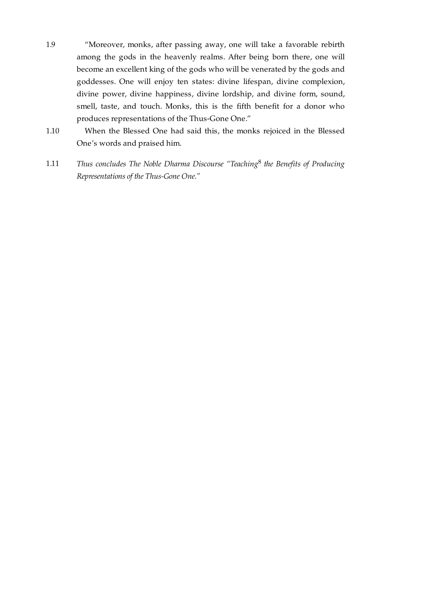- <span id="page-12-0"></span>"Moreover, monks, after passing away, one will take a favorable rebirth among the gods in the heavenly realms. After being born there, one will become an excellent king of the gods who will be venerated by the gods and goddesses. One will enjoy ten states: divine lifespan, divine complexion, divine power, divine happiness, divine lordship, and divine form, sound, smell, taste, and touch. Monks, this is the fifth benefit for a donor who produces representations of the Thus-Gone One." [1.9](#page-12-0)
- <span id="page-12-1"></span>When the Blessed One had said this, the monks rejoiced in the Blessed One's words and praised him. [1.10](#page-12-1)
- <span id="page-12-3"></span><span id="page-12-2"></span>*Thus concludes The Noble Dharma Discourse "Teaching the Benefits of Producing* [8](#page-15-0) *Representations of the Thus-Gone One."* [1.11](#page-12-2)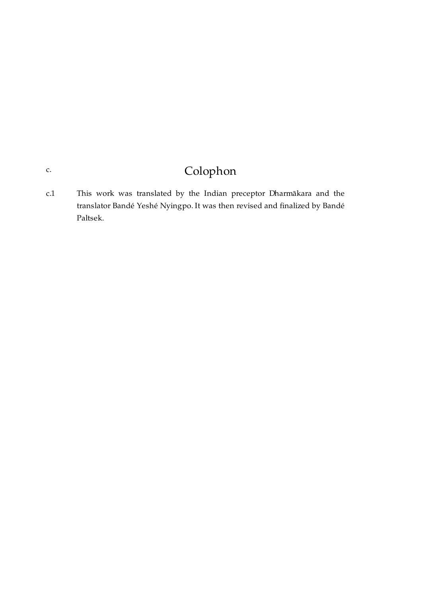# Colophon

<span id="page-13-1"></span>This work was translated by the Indian preceptor Dharmākara and the translator Bandé Yeshé Nyingpo. It was then revised and finalized by Bandé Paltsek. [c.1](#page-13-1)

### <span id="page-13-0"></span>[c.](#page-13-0)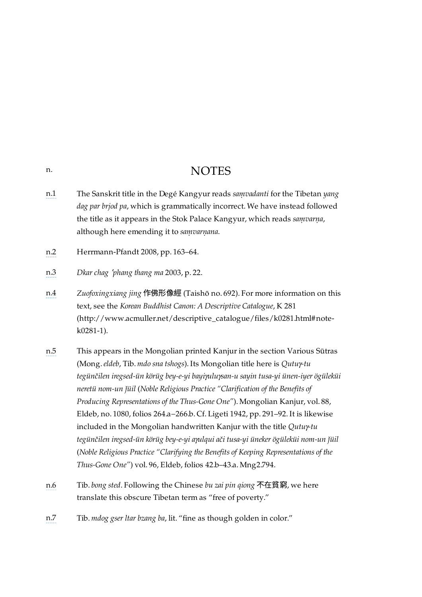### **NOTES**

- <span id="page-14-1"></span>[n.1](#page-7-4) The Sanskrit title in the Degé Kangyur reads *saṃvadanti* for the Tibetan *yang dag par brjod pa*, which is grammatically incorrect. We have instead followed the title as it appears in the Stok Palace Kangyur, which reads *saṃvarṇa*, although here emending it to *saṃvarṇana*.
- <span id="page-14-2"></span>[n.2](#page-7-5) Herrmann-Pfandt 2008, pp. 163–64.
- <span id="page-14-3"></span>[n.3](#page-7-6) *Dkar chag* <sup>&#</sup>x27;*phang thang ma* 2003, p. 22.
- <span id="page-14-4"></span>[n.4](#page-7-7) *Zuofoxingxiang jing* 作佛形像經 (Taishō no. 692). For more information on this text, see the *Korean Buddhist Canon: A Descriptive Catalogue*, K 281 [\(http://www.acmuller.net/descriptive\\_catalogue/files/k0281.html#note](http://www.acmuller.net/descriptive_catalogue/files/k0281.html#note-k0281-1)k0281-1).
- <span id="page-14-5"></span>[n.5](#page-8-2) This appears in the Mongolian printed Kanjur in the section Various Sūtras (Mong.*eldeb*, Tib. *mdo sna tshogs*). Its Mongolian title here is *Qutuγ-tu tegünčilen iregsed-ün körüg bey-e-yi bayiγuluγsan-u sayin tusa-yi ünen-iyer ögüleküi neretü nom-un ǰüil* (*Noble Religious Practice "Clarification of the Benefits of Producing Representations of the Thus-Gone One"*). Mongolian Kanjur, vol. 88, Eldeb, no. 1080, folios 264.a−266.b. Cf. Ligeti 1942, pp. 291–92. It is likewise included in the Mongolian handwritten Kanjur with the title *Qutuγ-tu tegünčilen iregsed-ün körüg bey-e-yi aγulqui ači tusa-yi üneker ögüleküi nom-un ǰüil* (*Noble Religious Practice "Clarifying the Benefits of Keeping Representations of the Thus-Gone One"*) vol. 96, Eldeb, folios 42.b–43.a. Mng2.794.
- <span id="page-14-6"></span>[n.6](#page-11-5) Tib. *bong sted*. Following the Chinese *bu zai pin qiong* 不在貧窮, we here translate this obscure Tibetan term as "free of poverty."
- <span id="page-14-7"></span>[n.7](#page-11-6) Tib. *mdog gser ltar bzang ba*, lit. "fine as though golden in color."

### <span id="page-14-0"></span>[n.](#page-14-0)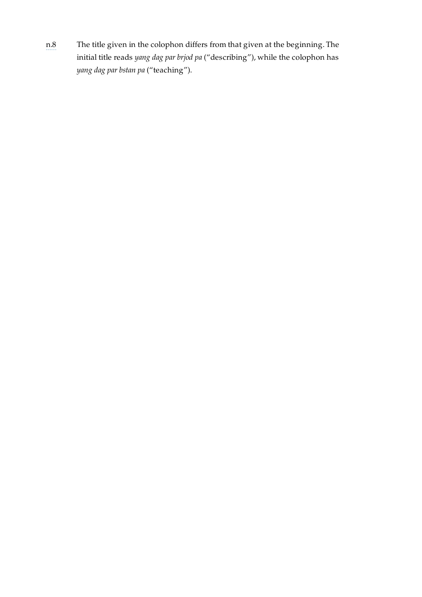<span id="page-15-0"></span>[n.8](#page-12-3) The title given in the colophon differs from that given at the beginning. The initial title reads *yang dag par brjod pa* ("describing"), while the colophon has *yang dag par bstan pa* ("teaching").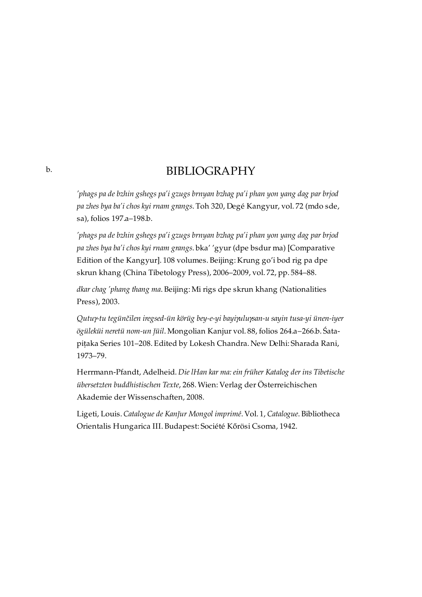### BIBLIOGRAPHY

*'phags pa de bzhin gshegs pa'i gzugs brnyan bzhag pa'i phan yon yang dag par brjod pa zhes bya ba'i chos kyi rnam grangs*. Toh 320, Degé Kangyur, vol. 72 (mdo sde, sa), folios 197.a–198.b.

*'phags pa de bzhin gshegs pa'i gzugs brnyan bzhag pa'i phan yon yang dag par brjod pa zhes bya ba'i chos kyi rnam grangs*. bka' 'gyur (dpe bsdur ma) [Comparative Edition of the Kangyur]. 108 volumes. Beijing: Krung go'i bod rig pa dpe skrun khang (China Tibetology Press), 2006–2009, vol. 72, pp. 584–88.

*dkar chag 'phang thang ma*. Beijing: Mi rigs dpe skrun khang (Nationalities Press), 2003.

*Qutuγ-tu tegünčilen iregsed-ün körüg bey-e-yi bayiγuluγsan-u sayin tusa-yi ünen-iyer ögüleküi neretü nom-un ǰüil*. Mongolian Kanjur vol. 88, folios 264.a−266.b. Śatapiṭaka Series 101–208. Edited by Lokesh Chandra. New Delhi: Sharada Rani, 1973–79.

Herrmann-Pfandt, Adelheid. *Die lHan kar ma: ein früher Katalog der ins Tibetische übersetzten buddhistischen Texte*, 268. Wien: Verlag der Österreichischen Akademie der Wissenschaften, 2008.

Ligeti, Louis. *Catalogue de Kanǰur Mongol imprimé*. Vol. 1, *Catalogue*. Bibliotheca Orientalis Hungarica III. Budapest: Société Kőrösi Csoma, 1942.

<span id="page-16-0"></span>[b.](#page-16-0)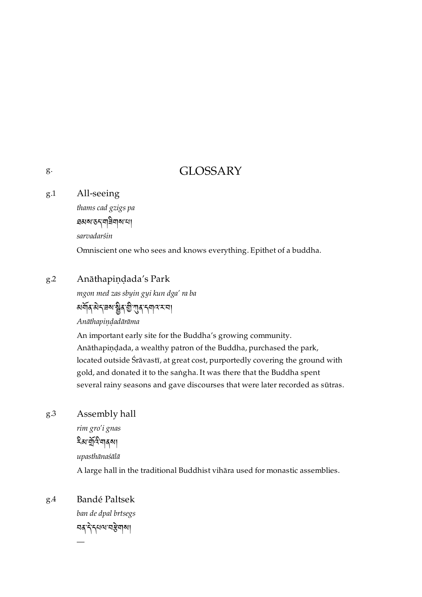### GLOSSARY

#### <span id="page-17-1"></span>All-seeing [g.1](#page-17-1)

*thams cad gzigs pa*

ཐམས་ཅད་གཟིགས་པ།

*sarvadarśin*

Omniscient one who sees and knows everything. Epithet of a buddha.

#### <span id="page-17-2"></span>Anāthapiṇḍada's Park [g.2](#page-17-2)

*mgon med zas sbyin gyi kun dga' ra ba* མམོན་མེད་རྲས་སྲིུན་རྱི་ཀུན་དགའ་ར་བ།

*Anāthapiṇḍadārāma*

An important early site for the Buddha's growing community. Anāthapiṇḍada, a wealthy patron of the Buddha, purchased the park, located outside Śrāvastī, at great cost, purportedly covering the ground with gold, and donated it to the saṅgha. It was there that the Buddha spent several rainy seasons and gave discourses that were later recorded as sūtras.

#### <span id="page-17-3"></span>Assembly hall [g.3](#page-17-3)

*rim gro'i gnas* হিম'র্মুন্ট'নাৰ্মা *upasthānaśālā*

A large hall in the traditional Buddhist vihāra used for monastic assemblies.

<span id="page-17-4"></span>Bandé Paltsek [g.4](#page-17-4)

—

*ban de dpal brtsegs* নৰ নিৰ্মলকা

<span id="page-17-0"></span>[g.](#page-17-0)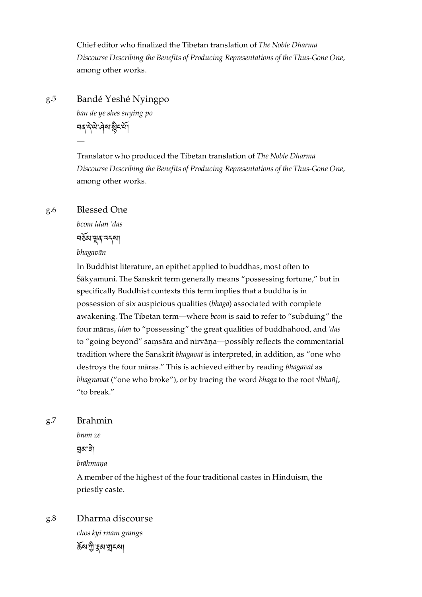Chief editor who finalized the Tibetan translation of *The Noble Dharma Discourse Describing the Benefits of Producing Representations of the Thus-Gone One*, among other works.

<span id="page-18-0"></span>Bandé Yeshé Nyingpo [g.5](#page-18-0)

> *ban de ye shes snying po* **อสุ ริ**ษิ: สุส ริยุ ริษ

Translator who produced the Tibetan translation of *The Noble Dharma Discourse Describing the Benefits of Producing Representations of the Thus-Gone One*, among other works.

#### <span id="page-18-1"></span>Blessed One [g.6](#page-18-1)

—

*bcom ldan 'das*

བམ་ན་འདས།

*bhagavān*

In Buddhist literature, an epithet applied to buddhas, most often to Śākyamuni. The Sanskrit term generally means "possessing fortune," but in specifically Buddhist contexts this term implies that a buddha is in possession of six auspicious qualities (*bhaga*) associated with complete awakening. The Tibetan term—where *bcom* is said to refer to "subduing" the four māras, *ldan* to "possessing" the great qualities of buddhahood, and *'das* to "going beyond" saṃsāra and nirvāṇa—possibly reflects the commentarial tradition where the Sanskrit *bhagavat* is interpreted, in addition, as "one who destroys the four māras." This is achieved either by reading *bhagavat* as *bhagnavat* ("one who broke"), or by tracing the word *bhaga* to the root *√bhañj*, "to break."

#### <span id="page-18-2"></span>Brahmin [g.7](#page-18-2)

*bram ze*

ন্নুম'ৰ্নী

*brāhmaṇa*

A member of the highest of the four traditional castes in Hinduism, the priestly caste.

<span id="page-18-3"></span>Dharma discourse *chos kyi rnam grangs* ৰ্ক্ৰম'শ্ৰী'ক্কুৰ্ম'যুৎমা [g.8](#page-18-3)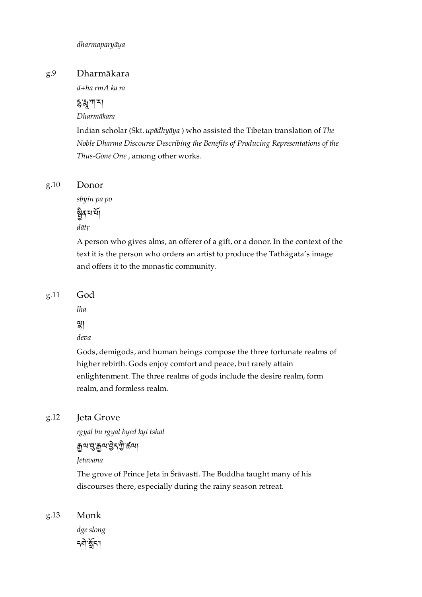#### <span id="page-19-0"></span>Dharmākara [g.9](#page-19-0)

*d+ha rmA ka ra*

### $53$ ་ཀ་ར།

*Dharmākara*

Indian scholar (Skt. *upādhyāya* ) who assisted the Tibetan translation of *The Noble Dharma Discourse Describing the Benefits of Producing Representations of the Thus-Gone One* , among other works.

#### <span id="page-19-1"></span>Donor [g.10](#page-19-1)

*sbyin pa po*

ষ্ট্ৰৰ্শি *dātṛ*

A person who gives alms, an offerer of a gift, or a donor. In the context of the text it is the person who orders an artist to produce the Tathāgata's image and offers it to the monastic community.

<span id="page-19-2"></span>God [g.11](#page-19-2)

*lha*

།

*deva*

Gods, demigods, and human beings compose the three fortunate realms of higher rebirth. Gods enjoy comfort and peace, but rarely attain enlightenment. The three realms of gods include the desire realm, form realm, and formless realm.

#### <span id="page-19-3"></span>Jeta Grove [g.12](#page-19-3)

*rgyal bu rgyal byed kyi tshal*

### ৰ্শেখ ৰূপ ষ্ট্ৰণ কৰে।

*Jetavana*

The grove of Prince Jeta in Śrāvastī. The Buddha taught many of his discourses there, especially during the rainy season retreat.

<span id="page-19-4"></span>Monk [g.13](#page-19-4)

> *dge slong* নশীর্ষ্ণশ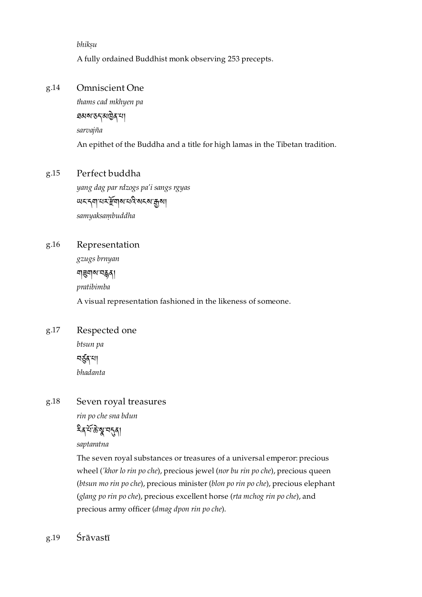*bhikṣu*

A fully ordained Buddhist monk observing 253 precepts.

#### <span id="page-20-0"></span>Omniscient One [g.14](#page-20-0)

*thams cad mkhyen pa* ཐམས་ཅད་མན་པ། *sarvajña* An epithet of the Buddha and a title for high lamas in the Tibetan tradition.

#### <span id="page-20-1"></span>Perfect buddha [g.15](#page-20-1)

*yang dag par rdzogs pa'i sangs rgyas* <u>w<६ या सर्म्हण राज्य राज्य का</u> *samyaksaṃbuddha*

<span id="page-20-2"></span>Representation [g.16](#page-20-2)

> *gzugs brnyan* শার্মাম নর্ক্ন *pratibimba* A visual representation fashioned in the likeness of someone.

<span id="page-20-3"></span>Respected one [g.17](#page-20-3)

> *btsun pa* নৰ্ত্ত্বন্থা *bhadanta*

#### <span id="page-20-4"></span>Seven royal treasures [g.18](#page-20-4)

*rin po che sna bdun*

ষ্ট্রস্মন্থদ্বরা

*saptaratna*

The seven royal substances or treasures of a universal emperor: precious wheel (*'khor lo rin po che*), precious jewel (*nor bu rin po che*), precious queen (*btsun mo rin po che*), precious minister (*blon po rin po che*), precious elephant (*glang po rin po che*), precious excellent horse (*rta mchog rin po che*), and precious army officer (*dmag dpon rin po che*).

<span id="page-20-5"></span>Śrāvastī [g.19](#page-20-5)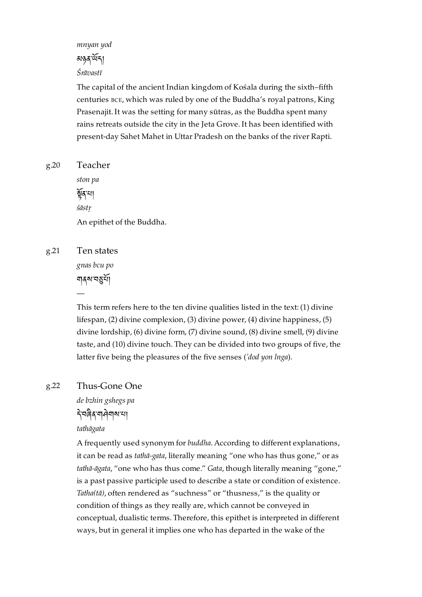*mnyan yod* མཉན་ད། *Śrāvastī*

The capital of the ancient Indian kingdom of Kośala during the sixth–fifth centuries BCE, which was ruled by one of the Buddha's royal patrons, King Prasenajit. It was the setting for many sūtras, as the Buddha spent many rains retreats outside the city in the Jeta Grove. It has been identified with present-day Sahet Mahet in Uttar Pradesh on the banks of the river Rapti.

<span id="page-21-0"></span>Teacher [g.20](#page-21-0)

> *ston pa* ৰ্ষুৰ ঘা *śāstṛ* An epithet of the Buddha.

<span id="page-21-1"></span>Ten states [g.21](#page-21-1)

> *gnas bcu po* ঘৰ্ষসমূৰ্য

—

This term refers here to the ten divine qualities listed in the text: (1) divine lifespan, (2) divine complexion, (3) divine power, (4) divine happiness, (5) divine lordship, (6) divine form, (7) divine sound, (8) divine smell, (9) divine taste, and (10) divine touch. They can be divided into two groups of five, the latter five being the pleasures of the five senses (*'dod yon lnga*).

#### <span id="page-21-2"></span>Thus-Gone One [g.22](#page-21-2)

*de bzhin gshegs pa*

### ་བན་གགས་པ།

*tathāgata*

A frequently used synonym for *buddha*. According to different explanations, it can be read as *tathā-gata*, literally meaning "one who has thus gone," or as *tathā-āgata*, "one who has thus come." *Gata*, though literally meaning "gone," is a past passive participle used to describe a state or condition of existence. *Tatha(tā)*, often rendered as "suchness" or "thusness," is the quality or condition of things as they really are, which cannot be conveyed in conceptual, dualistic terms. Therefore, this epithet is interpreted in different ways, but in general it implies one who has departed in the wake of the